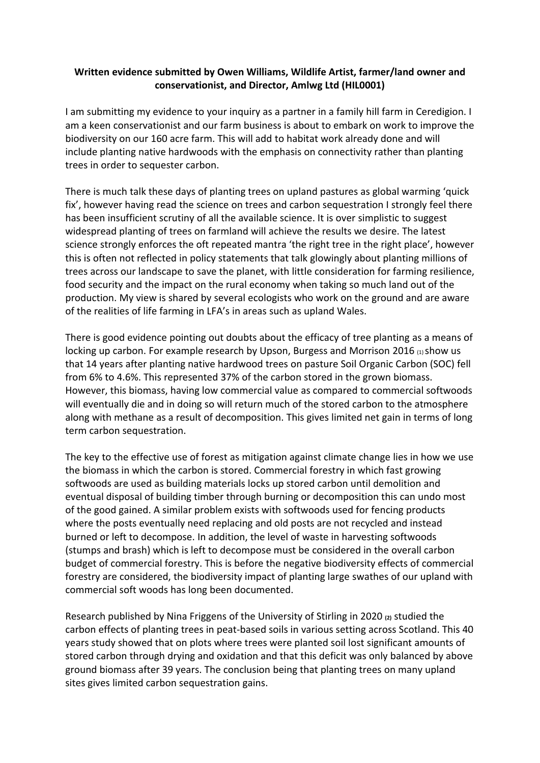## **Written evidence submitted by Owen Williams, Wildlife Artist, farmer/land owner and conservationist, and Director, Amlwg Ltd (HIL0001)**

I am submitting my evidence to your inquiry as a partner in a family hill farm in Ceredigion. I am a keen conservationist and our farm business is about to embark on work to improve the biodiversity on our 160 acre farm. This will add to habitat work already done and will include planting native hardwoods with the emphasis on connectivity rather than planting trees in order to sequester carbon.

There is much talk these days of planting trees on upland pastures as global warming 'quick fix', however having read the science on trees and carbon sequestration I strongly feel there has been insufficient scrutiny of all the available science. It is over simplistic to suggest widespread planting of trees on farmland will achieve the results we desire. The latest science strongly enforces the oft repeated mantra 'the right tree in the right place', however this is often not reflected in policy statements that talk glowingly about planting millions of trees across our landscape to save the planet, with little consideration for farming resilience, food security and the impact on the rural economy when taking so much land out of the production. My view is shared by several ecologists who work on the ground and are aware of the realities of life farming in LFA's in areas such as upland Wales.

There is good evidence pointing out doubts about the efficacy of tree planting as a means of locking up carbon. For example research by Upson, Burgess and Morrison 2016 (1) show us that 14 years after planting native hardwood trees on pasture Soil Organic Carbon (SOC) fell from 6% to 4.6%. This represented 37% of the carbon stored in the grown biomass. However, this biomass, having low commercial value as compared to commercial softwoods will eventually die and in doing so will return much of the stored carbon to the atmosphere along with methane as a result of decomposition. This gives limited net gain in terms of long term carbon sequestration.

The key to the effective use of forest as mitigation against climate change lies in how we use the biomass in which the carbon is stored. Commercial forestry in which fast growing softwoods are used as building materials locks up stored carbon until demolition and eventual disposal of building timber through burning or decomposition this can undo most of the good gained. A similar problem exists with softwoods used for fencing products where the posts eventually need replacing and old posts are not recycled and instead burned or left to decompose. In addition, the level of waste in harvesting softwoods (stumps and brash) which is left to decompose must be considered in the overall carbon budget of commercial forestry. This is before the negative biodiversity effects of commercial forestry are considered, the biodiversity impact of planting large swathes of our upland with commercial soft woods has long been documented.

Research published by Nina Friggens of the University of Stirling in 2020 **(2)** studied the carbon effects of planting trees in peat-based soils in various setting across Scotland. This 40 years study showed that on plots where trees were planted soil lost significant amounts of stored carbon through drying and oxidation and that this deficit was only balanced by above ground biomass after 39 years. The conclusion being that planting trees on many upland sites gives limited carbon sequestration gains.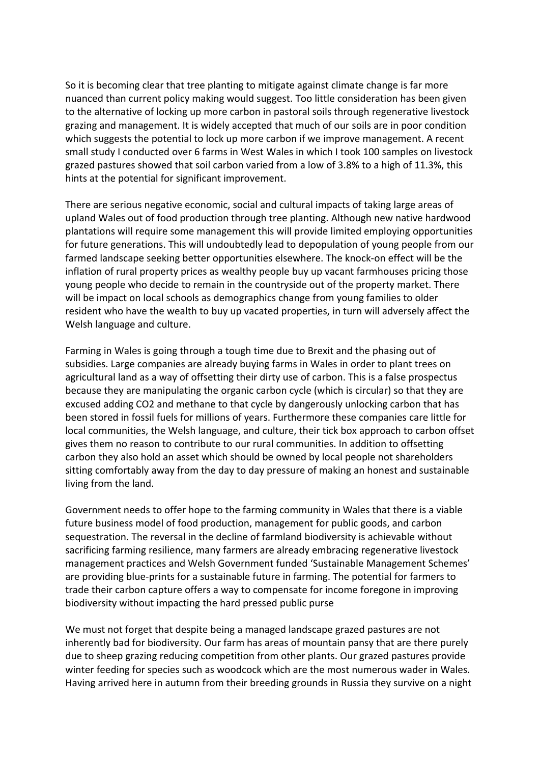So it is becoming clear that tree planting to mitigate against climate change is far more nuanced than current policy making would suggest. Too little consideration has been given to the alternative of locking up more carbon in pastoral soils through regenerative livestock grazing and management. It is widely accepted that much of our soils are in poor condition which suggests the potential to lock up more carbon if we improve management. A recent small study I conducted over 6 farms in West Wales in which I took 100 samples on livestock grazed pastures showed that soil carbon varied from a low of 3.8% to a high of 11.3%, this hints at the potential for significant improvement.

There are serious negative economic, social and cultural impacts of taking large areas of upland Wales out of food production through tree planting. Although new native hardwood plantations will require some management this will provide limited employing opportunities for future generations. This will undoubtedly lead to depopulation of young people from our farmed landscape seeking better opportunities elsewhere. The knock-on effect will be the inflation of rural property prices as wealthy people buy up vacant farmhouses pricing those young people who decide to remain in the countryside out of the property market. There will be impact on local schools as demographics change from young families to older resident who have the wealth to buy up vacated properties, in turn will adversely affect the Welsh language and culture.

Farming in Wales is going through a tough time due to Brexit and the phasing out of subsidies. Large companies are already buying farms in Wales in order to plant trees on agricultural land as a way of offsetting their dirty use of carbon. This is a false prospectus because they are manipulating the organic carbon cycle (which is circular) so that they are excused adding CO2 and methane to that cycle by dangerously unlocking carbon that has been stored in fossil fuels for millions of years. Furthermore these companies care little for local communities, the Welsh language, and culture, their tick box approach to carbon offset gives them no reason to contribute to our rural communities. In addition to offsetting carbon they also hold an asset which should be owned by local people not shareholders sitting comfortably away from the day to day pressure of making an honest and sustainable living from the land.

Government needs to offer hope to the farming community in Wales that there is a viable future business model of food production, management for public goods, and carbon sequestration. The reversal in the decline of farmland biodiversity is achievable without sacrificing farming resilience, many farmers are already embracing regenerative livestock management practices and Welsh Government funded 'Sustainable Management Schemes' are providing blue-prints for a sustainable future in farming. The potential for farmers to trade their carbon capture offers a way to compensate for income foregone in improving biodiversity without impacting the hard pressed public purse

We must not forget that despite being a managed landscape grazed pastures are not inherently bad for biodiversity. Our farm has areas of mountain pansy that are there purely due to sheep grazing reducing competition from other plants. Our grazed pastures provide winter feeding for species such as woodcock which are the most numerous wader in Wales. Having arrived here in autumn from their breeding grounds in Russia they survive on a night